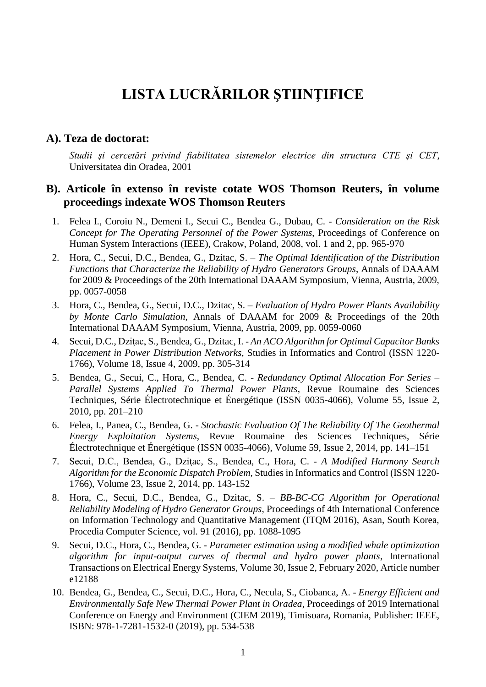# **LISTA LUCRĂRILOR ŞTIINŢIFICE**

#### **A). Teza de doctorat:**

*Studii şi cercetări privind fiabilitatea sistemelor electrice din structura CTE şi CET*, Universitatea din Oradea, 2001

#### **B). Articole în extenso în reviste cotate WOS Thomson Reuters, în volume proceedings indexate WOS Thomson Reuters**

- 1. Felea I., Coroiu N., Demeni I., Secui C., Bendea G., Dubau, C. *Consideration on the Risk Concept for The Operating Personnel of the Power Systems*, Proceedings of Conference on Human System Interactions (IEEE), Crakow, Poland, 2008, vol. 1 and 2, pp. 965-970
- 2. Hora, C., Secui, D.C., Bendea, G., Dzitac, S. *The Optimal Identification of the Distribution Functions that Characterize the Reliability of Hydro Generators Groups*, Annals of DAAAM for 2009 & Proceedings of the 20th International DAAAM Symposium, Vienna, Austria, 2009, pp. 0057-0058
- 3. Hora, C., Bendea, G., Secui, D.C., Dzitac, S. *Evaluation of Hydro Power Plants Availability by Monte Carlo Simulation*, Annals of DAAAM for 2009 & Proceedings of the 20th International DAAAM Symposium, Vienna, Austria, 2009, pp. 0059-0060
- 4. Secui, D.C., Dziţac, S., Bendea, G., Dzitac, I. *An ACO Algorithm for Optimal Capacitor Banks Placement in Power Distribution Networks*, Studies in Informatics and Control (ISSN 1220- 1766), Volume 18, Issue 4, 2009, pp. 305-314
- 5. Bendea, G., Secui, C., Hora, C., Bendea, C. *Redundancy Optimal Allocation For Series – Parallel Systems Applied To Thermal Power Plants*, Revue Roumaine des Sciences Techniques, Série Électrotechnique et Énergétique (ISSN 0035-4066), Volume 55, Issue 2, 2010, pp. 201–210
- 6. Felea, I., Panea, C., Bendea, G. *Stochastic Evaluation Of The Reliability Of The Geothermal Energy Exploitation Systems*, Revue Roumaine des Sciences Techniques, Série Électrotechnique et Énergétique (ISSN 0035-4066), Volume 59, Issue 2, 2014, pp. 141–151
- 7. Secui, D.C., Bendea, G., Dziţac, S., Bendea, C., Hora, C. *A Modified Harmony Search Algorithm for the Economic Dispatch Problem*, Studies in Informatics and Control (ISSN 1220- 1766), Volume 23, Issue 2, 2014, pp. 143-152
- 8. Hora, C., Secui, D.C., Bendea, G., Dzitac, S. *BB-BC-CG Algorithm for Operational Reliability Modeling of Hydro Generator Groups*, Proceedings of 4th International Conference on Information Technology and Quantitative Management (ITQM 2016), Asan, South Korea, Procedia Computer Science, vol. 91 (2016), pp. 1088-1095
- 9. Secui, D.C., Hora, C., Bendea, G. *Parameter estimation using a modified whale optimization algorithm for input-output curves of thermal and hydro power plants*, International Transactions on Electrical Energy Systems, Volume 30, Issue 2, February 2020, Article number e12188
- 10. Bendea, G., Bendea, C., Secui, D.C., Hora, C., Necula, S., Ciobanca, A. *Energy Efficient and Environmentally Safe New Thermal Power Plant in Oradea*, Proceedings of 2019 International Conference on Energy and Environment (CIEM 2019), Timisoara, Romania, Publisher: IEEE, ISBN: 978-1-7281-1532-0 (2019), pp. 534-538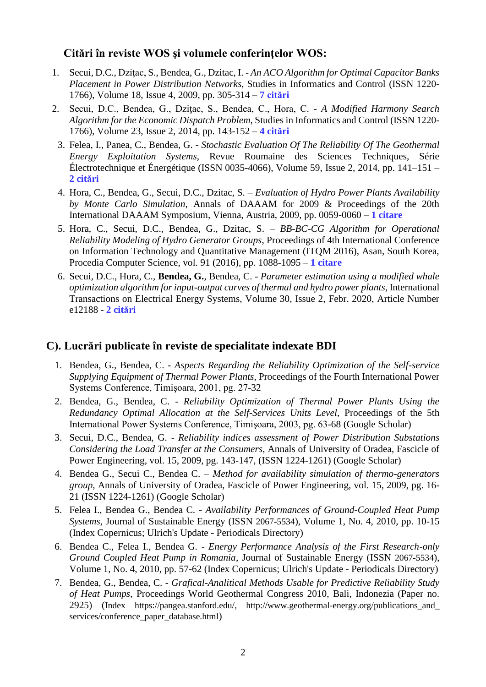## **Citări în reviste WOS şi volumele conferinţelor WOS:**

- 1. Secui, D.C., Dziţac, S., Bendea, G., Dzitac, I. *An ACO Algorithm for Optimal Capacitor Banks Placement in Power Distribution Networks*, Studies in Informatics and Control (ISSN 1220- 1766), Volume 18, Issue 4, 2009, pp. 305-314 – **7 citări**
- 2. Secui, D.C., Bendea, G., Dziţac, S., Bendea, C., Hora, C. *A Modified Harmony Search Algorithm for the Economic Dispatch Problem*, Studies in Informatics and Control (ISSN 1220- 1766), Volume 23, Issue 2, 2014, pp. 143-152 – **4 citări**
	- 3. Felea, I., Panea, C., Bendea, G. *Stochastic Evaluation Of The Reliability Of The Geothermal Energy Exploitation Systems*, Revue Roumaine des Sciences Techniques, Série Électrotechnique et Énergétique (ISSN 0035-4066), Volume 59, Issue 2, 2014, pp. 141–151 – **2 citări**
	- 4. Hora, C., Bendea, G., Secui, D.C., Dzitac, S. *Evaluation of Hydro Power Plants Availability by Monte Carlo Simulation*, Annals of DAAAM for 2009 & Proceedings of the 20th International DAAAM Symposium, Vienna, Austria, 2009, pp. 0059-0060 – **1 citare**
	- 5. Hora, C., Secui, D.C., Bendea, G., Dzitac, S. *BB-BC-CG Algorithm for Operational Reliability Modeling of Hydro Generator Groups*, Proceedings of 4th International Conference on Information Technology and Quantitative Management (ITQM 2016), Asan, South Korea, Procedia Computer Science, vol. 91 (2016), pp. 1088-1095 – **1 citare**
	- 6. Secui, D.C., Hora, C., **Bendea, G.**, Bendea, C. *Parameter estimation using a modified whale optimization algorithm for input-output curves of thermal and hydro power plants*, International Transactions on Electrical Energy Systems, Volume 30, Issue 2, Febr. 2020, Article Number e12188 - **2 citări**

# **C). Lucrări publicate în reviste de specialitate indexate BDI**

- 1. Bendea, G., Bendea, C. *Aspects Regarding the Reliability Optimization of the Self-service Supplying Equipment of Thermal Power Plants*, Proceedings of the Fourth International Power Systems Conference, Timişoara, 2001, pg. 27-32
- 2. Bendea, G., Bendea, C. *Reliability Optimization of Thermal Power Plants Using the Redundancy Optimal Allocation at the Self-Services Units Level*, Proceedings of the 5th International Power Systems Conference, Timişoara, 2003, pg. 63-68 (Google Scholar)
- 3. Secui, D.C., Bendea, G. *Reliability indices assessment of Power Distribution Substations Considering the Load Transfer at the Consumers*, Annals of University of Oradea, Fascicle of Power Engineering, vol. 15, 2009, pg. 143-147, (ISSN 1224-1261) (Google Scholar)
- 4. Bendea G., Secui C., Bendea C. *Method for availability simulation of thermo-generators group*, Annals of University of Oradea, Fascicle of Power Engineering, vol. 15, 2009, pg. 16- 21 (ISSN 1224-1261) (Google Scholar)
- 5. Felea I., Bendea G., Bendea C. *Availability Performances of Ground-Coupled Heat Pump Systems*, Journal of Sustainable Energy (ISSN 2067-5534), Volume 1, No. 4, 2010, pp. 10-15 (Index Copernicus; Ulrich's Update - Periodicals Directory)
- 6. Bendea C., Felea I., Bendea G. *Energy Performance Analysis of the First Research-only Ground Coupled Heat Pump in Romania*, Journal of Sustainable Energy (ISSN 2067-5534), Volume 1, No. 4, 2010, pp. 57-62 (Index Copernicus; Ulrich's Update - Periodicals Directory)
- 7. Bendea, G., Bendea, C. *Grafical-Analitical Methods Usable for Predictive Reliability Study of Heat Pumps*, Proceedings World Geothermal Congress 2010, Bali, Indonezia (Paper no. 2925) (Index https://pangea.stanford.edu/, http://www.geothermal-energy.org/publications\_and\_ services/conference\_paper\_database.html)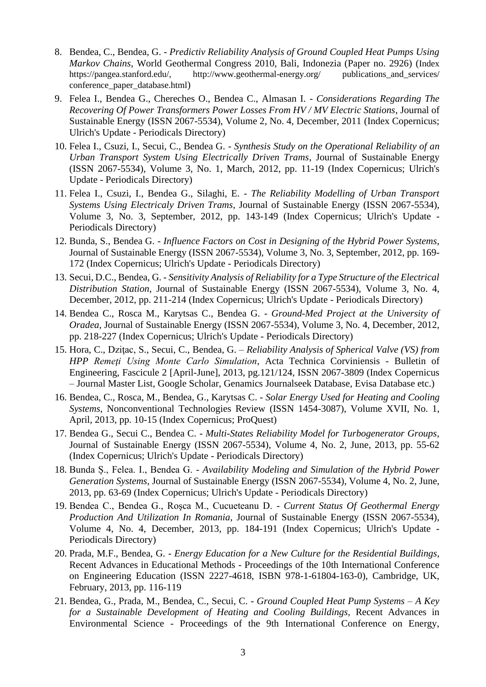- 8. Bendea, C., Bendea, G. *Predictiv Reliability Analysis of Ground Coupled Heat Pumps Using Markov Chains*, World Geothermal Congress 2010, Bali, Indonezia (Paper no. 2926) (Index https://pangea.stanford.edu/, <http://www.geothermal-energy.org/> publications\_and\_services/ conference\_paper\_database.html)
- 9. Felea I., Bendea G., Chereches O., Bendea C., Almasan I. *Considerations Regarding The Recovering Of Power Transformers Power Losses From HV / MV Electric Stations*, Journal of Sustainable Energy (ISSN 2067-5534), Volume 2, No. 4, December, 2011 (Index Copernicus; Ulrich's Update - Periodicals Directory)
- 10. Felea I., Csuzi, I., Secui, C., Bendea G. *Synthesis Study on the Operational Reliability of an Urban Transport System Using Electrically Driven Trams*, Journal of Sustainable Energy (ISSN 2067-5534), Volume 3, No. 1, March, 2012, pp. 11-19 (Index Copernicus; Ulrich's Update - Periodicals Directory)
- 11. Felea I., Csuzi, I., Bendea G., Silaghi, E. *The Reliability Modelling of Urban Transport Systems Using Electricaly Driven Trams*, Journal of Sustainable Energy (ISSN 2067-5534), Volume 3, No. 3, September, 2012, pp. 143-149 (Index Copernicus; Ulrich's Update - Periodicals Directory)
- 12. Bunda, S., Bendea G. *Influence Factors on Cost in Designing of the Hybrid Power Systems*, Journal of Sustainable Energy (ISSN 2067-5534), Volume 3, No. 3, September, 2012, pp. 169- 172 (Index Copernicus; Ulrich's Update - Periodicals Directory)
- 13. Secui, D.C., Bendea, G. *Sensitivity Analysis of Reliability for a Type Structure of the Electrical Distribution Station*, Journal of Sustainable Energy (ISSN 2067-5534), Volume 3, No. 4, December, 2012, pp. 211-214 (Index Copernicus; Ulrich's Update - Periodicals Directory)
- 14. Bendea C., Rosca M., Karytsas C., Bendea G. *Ground-Med Project at the University of Oradea*, Journal of Sustainable Energy (ISSN 2067-5534), Volume 3, No. 4, December, 2012, pp. 218-227 (Index Copernicus; Ulrich's Update - Periodicals Directory)
- 15. Hora, C., Dziţac, S., Secui, C., Bendea, G. *Reliability Analysis of Spherical Valve (VS) from HPP Remeţi Using Monte Carlo Simulation*, Acta Technica Corviniensis - Bulletin of Engineering, Fascicule 2 [April-June], 2013, pg.121/124, ISSN 2067-3809 (Index Copernicus – Journal Master List, Google Scholar, Genamics Journalseek Database, Evisa Database etc.)
- 16. Bendea, C., Rosca, M., Bendea, G., Karytsas C. *Solar Energy Used for Heating and Cooling Systems*, Nonconventional Technologies Review (ISSN 1454-3087), Volume XVII, No. 1, April, 2013, pp. 10-15 (Index Copernicus; ProQuest)
- 17. Bendea G., Secui C., Bendea C. *Multi-States Reliability Model for Turbogenerator Groups*, Journal of Sustainable Energy (ISSN 2067-5534), Volume 4, No. 2, June, 2013, pp. 55-62 (Index Copernicus; Ulrich's Update - Periodicals Directory)
- 18. Bunda Ș., Felea. I., Bendea G. *Availability Modeling and Simulation of the Hybrid Power Generation Systems*, Journal of Sustainable Energy (ISSN 2067-5534), Volume 4, No. 2, June, 2013, pp. 63-69 (Index Copernicus; Ulrich's Update - Periodicals Directory)
- 19. Bendea C., Bendea G., Roşca M., Cucueteanu D. *Current Status Of Geothermal Energy Production And Utilization In Romania*, Journal of Sustainable Energy (ISSN 2067-5534), Volume 4, No. 4, December, 2013, pp. 184-191 (Index Copernicus; Ulrich's Update - Periodicals Directory)
- 20. Prada, M.F., Bendea, G. *Energy Education for a New Culture for the Residential Buildings*, Recent Advances in Educational Methods - Proceedings of the 10th International Conference on Engineering Education (ISSN 2227-4618, ISBN 978-1-61804-163-0), Cambridge, UK, February, 2013, pp. 116-119
- 21. Bendea, G., Prada, M., Bendea, C., Secui, C. *Ground Coupled Heat Pump Systems – A Key for a Sustainable Development of Heating and Cooling Buildings,* Recent Advances in Environmental Science - Proceedings of the 9th International Conference on Energy,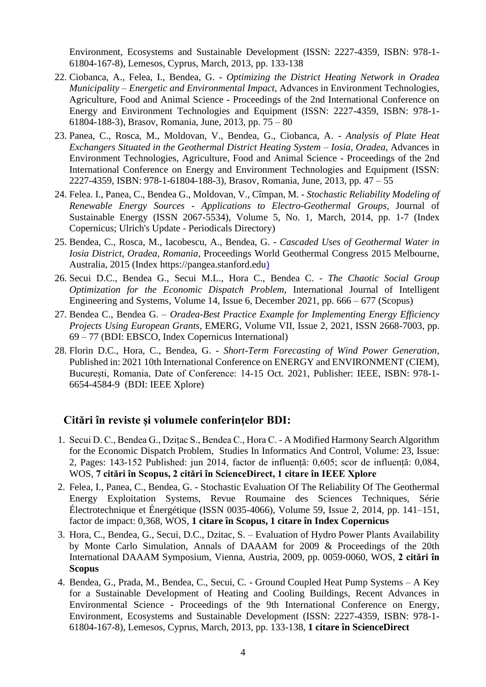Environment, Ecosystems and Sustainable Development (ISSN: 2227-4359, ISBN: 978-1- 61804-167-8), Lemesos, Cyprus, March, 2013, pp. 133-138

- 22. Ciobanca, A., Felea, I., Bendea, G. *Optimizing the District Heating Network in Oradea Municipality – Energetic and Environmental Impact*, Advances in Environment Technologies, Agriculture, Food and Animal Science - Proceedings of the 2nd International Conference on Energy and Environment Technologies and Equipment (ISSN: 2227-4359, ISBN: 978-1- 61804-188-3), Brasov, Romania, June, 2013, pp. 75 – 80
- 23. Panea, C., Rosca, M., Moldovan, V., Bendea, G., Ciobanca, A. *Analysis of Plate Heat Exchangers Situated in the Geothermal District Heating System – Iosia, Oradea*, Advances in Environment Technologies, Agriculture, Food and Animal Science - Proceedings of the 2nd International Conference on Energy and Environment Technologies and Equipment (ISSN: 2227-4359, ISBN: 978-1-61804-188-3), Brasov, Romania, June, 2013, pp. 47 – 55
- 24. Felea. I., Panea, C., Bendea G., Moldovan, V., Cîmpan, M. *Stochastic Reliability Modeling of Renewable Energy Sources - Applications to Electro-Geothermal Groups*, Journal of Sustainable Energy (ISSN 2067-5534), Volume 5, No. 1, March, 2014, pp. 1-7 (Index Copernicus; Ulrich's Update - Periodicals Directory)
- 25. Bendea, C., Rosca, M., Iacobescu, A., Bendea, G. *Cascaded Uses of Geothermal Water in Iosia District, Oradea, Romania*, Proceedings World Geothermal Congress 2015 Melbourne, Australia, 2015 (Index https://pangea.stanford.edu)
- 26. Secui D.C., Bendea G., Secui M.L., Hora C., Bendea C. *The Chaotic Social Group Optimization for the Economic Dispatch Problem*, International Journal of Intelligent Engineering and Systems, Volume 14, Issue 6, December 2021, pp. 666 – 677 (Scopus)
- 27. Bendea C., Bendea G. *Oradea-Best Practice Example for Implementing Energy Efficiency Projects Using European Grants*, EMERG, Volume VII, Issue 2, 2021, ISSN 2668-7003, pp. 69 – 77 (BDI: EBSCO, Index Copernicus International)
- 28. Florin D.C., Hora, C., Bendea, G. *Short-Term Forecasting of Wind Power Generation*, Published in: 2021 10th International Conference on ENERGY and ENVIRONMENT (CIEM), București, Romania, Date of Conference: 14-15 Oct. 2021, Publisher: IEEE, ISBN: 978-1- 6654-4584-9 (BDI: IEEE Xplore)

#### **Citări în reviste şi volumele conferinţelor BDI:**

- 1. Secui D. C., Bendea G., Dzițac S., Bendea C., Hora C. A Modified Harmony Search Algorithm for the Economic Dispatch Problem, Studies In Informatics And Control, Volume: 23, Issue: 2, Pages: 143-152 Published: jun 2014, factor de influență: 0,605; scor de influență: 0,084, WOS, **7 citări în Scopus, 2 citări în ScienceDirect, 1 citare în IEEE Xplore**
- 2. Felea, I., Panea, C., Bendea, G. Stochastic Evaluation Of The Reliability Of The Geothermal Energy Exploitation Systems, Revue Roumaine des Sciences Techniques, Série Électrotechnique et Énergétique (ISSN 0035-4066), Volume 59, Issue 2, 2014, pp. 141–151, factor de impact: 0,368, WOS, **1 citare în Scopus, 1 citare în Index Copernicus**
- 3. Hora, C., Bendea, G., Secui, D.C., Dzitac, S. Evaluation of Hydro Power Plants Availability by Monte Carlo Simulation, Annals of DAAAM for 2009 & Proceedings of the 20th International DAAAM Symposium, Vienna, Austria, 2009, pp. 0059-0060, WOS, **2 citări în Scopus**
- 4. Bendea, G., Prada, M., Bendea, C., Secui, C. Ground Coupled Heat Pump Systems A Key for a Sustainable Development of Heating and Cooling Buildings, Recent Advances in Environmental Science - Proceedings of the 9th International Conference on Energy, Environment, Ecosystems and Sustainable Development (ISSN: 2227-4359, ISBN: 978-1- 61804-167-8), Lemesos, Cyprus, March, 2013, pp. 133-138, **1 citare în ScienceDirect**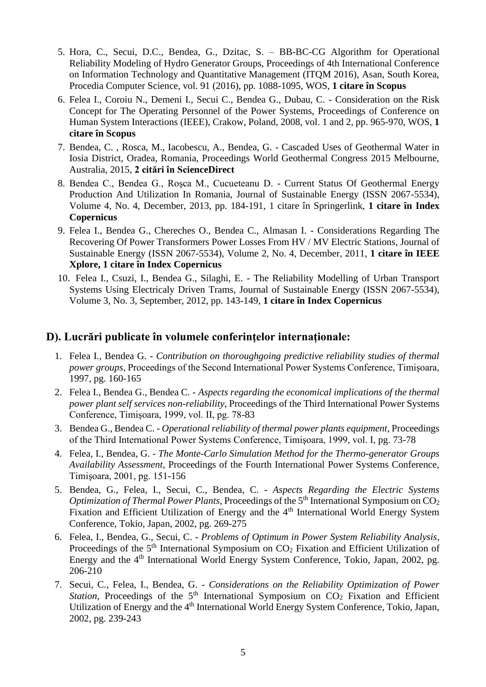- 5. Hora, C., Secui, D.C., Bendea, G., Dzitac, S. BB-BC-CG Algorithm for Operational Reliability Modeling of Hydro Generator Groups, Proceedings of 4th International Conference on Information Technology and Quantitative Management (ITQM 2016), Asan, South Korea, Procedia Computer Science, vol. 91 (2016), pp. 1088-1095, WOS, **1 citare în Scopus**
- 6. Felea I., Coroiu N., Demeni I., Secui C., Bendea G., Dubau, C. Consideration on the Risk Concept for The Operating Personnel of the Power Systems, Proceedings of Conference on Human System Interactions (IEEE), Crakow, Poland, 2008, vol. 1 and 2, pp. 965-970, WOS, **1 citare în Scopus**
- 7. Bendea, C. , Rosca, M., Iacobescu, A., Bendea, G. Cascaded Uses of Geothermal Water in Iosia District, Oradea, Romania, Proceedings World Geothermal Congress 2015 Melbourne, Australia, 2015, **2 citări în ScienceDirect**
- 8. Bendea C., Bendea G., Roşca M., Cucueteanu D. Current Status Of Geothermal Energy Production And Utilization In Romania, Journal of Sustainable Energy (ISSN 2067-5534), Volume 4, No. 4, December, 2013, pp. 184-191, 1 citare în Springerlink, **1 citare în Index Copernicus**
- 9. Felea I., Bendea G., Chereches O., Bendea C., Almasan I. Considerations Regarding The Recovering Of Power Transformers Power Losses From HV / MV Electric Stations, Journal of Sustainable Energy (ISSN 2067-5534), Volume 2, No. 4, December, 2011, **1 citare în IEEE Xplore, 1 citare în Index Copernicus**
- 10. Felea I., Csuzi, I., Bendea G., Silaghi, E. The Reliability Modelling of Urban Transport Systems Using Electricaly Driven Trams, Journal of Sustainable Energy (ISSN 2067-5534), Volume 3, No. 3, September, 2012, pp. 143-149, **1 citare în Index Copernicus**

# **D). Lucrări publicate în volumele conferinţelor internaţionale:**

- 1. Felea I., Bendea G. *- Contribution on thoroughgoing predictive reliability studies of thermal power groups*, Proceedings of the Second International Power Systems Conference, Timişoara, 1997, pg. 160-165
- 2. Felea I., Bendea G., Bendea C. *Aspects regarding the economical implications of the thermal power plant self services non-reliability*, Proceedings of the Third International Power Systems Conference, Timişoara, 1999, vol. II, pg. 78-83
- 3. Bendea G., Bendea C. *Operational reliability of thermal power plants equipment*, Proceedings of the Third International Power Systems Conference, Timişoara, 1999, vol. I, pg. 73-78
- 4. Felea, I., Bendea, G. *The Monte-Carlo Simulation Method for the Thermo-generator Groups Availability Assessment*, Proceedings of the Fourth International Power Systems Conference, Timişoara, 2001, pg. 151-156
- 5. Bendea, G., Felea, I., Secui, C., Bendea, C. *Aspects Regarding the Electric Systems Optimization of Thermal Power Plants*, Proceedings of the 5<sup>th</sup> International Symposium on CO<sub>2</sub> Fixation and Efficient Utilization of Energy and the 4<sup>th</sup> International World Energy System Conference, Tokio, Japan, 2002, pg. 269-275
- 6. Felea, I., Bendea, G., Secui, C. *Problems of Optimum in Power System Reliability Analysis*, Proceedings of the  $5<sup>th</sup>$  International Symposium on  $CO<sub>2</sub>$  Fixation and Efficient Utilization of Energy and the 4th International World Energy System Conference, Tokio, Japan, 2002, pg. 206-210
- 7. Secui, C., Felea, I., Bendea, G. *Considerations on the Reliability Optimization of Power Station*, Proceedings of the  $5<sup>th</sup>$  International Symposium on  $CO<sub>2</sub>$  Fixation and Efficient Utilization of Energy and the 4<sup>th</sup> International World Energy System Conference, Tokio, Japan, 2002, pg. 239-243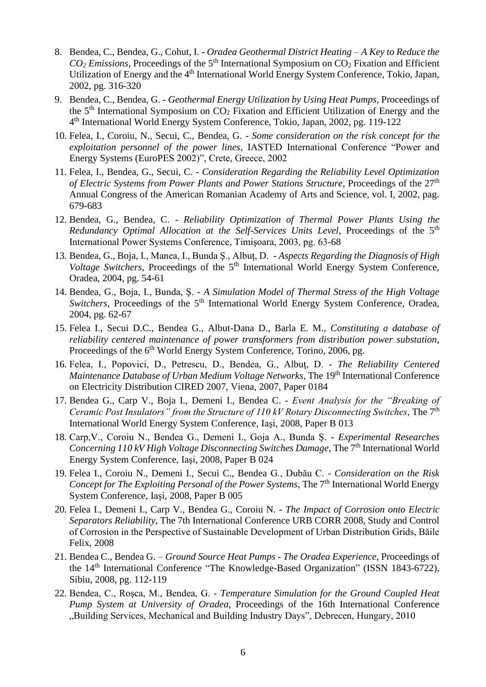- 8. Bendea, C., Bendea, G., Cohut, I. *Oradea Geothermal District Heating – A Key to Reduce the*   $CO<sub>2</sub> Emissions$ , Proceedings of the 5<sup>th</sup> International Symposium on  $CO<sub>2</sub> Fixation$  and Efficient Utilization of Energy and the 4<sup>th</sup> International World Energy System Conference, Tokio, Japan, 2002, pg. 316-320
- 9. Bendea, C., Bendea, G. *Geothermal Energy Utilization by Using Heat Pumps*, Proceedings of the  $5<sup>th</sup>$  International Symposium on  $CO<sub>2</sub>$  Fixation and Efficient Utilization of Energy and the 4 th International World Energy System Conference, Tokio, Japan, 2002, pg. 119-122
- 10. Felea, I., Coroiu, N., Secui, C., Bendea, G. *Some consideration on the risk concept for the exploitation personnel of the power lines*, IASTED International Conference "Power and Energy Systems (EuroPES 2002)", Crete, Greece, 2002
- 11. Felea, I., Bendea, G., Secui, C. *Consideration Regarding the Reliability Level Optimization of Electric Systems from Power Plants and Power Stations Structure*, Proceedings of the 27<sup>th</sup> Annual Congress of the American Romanian Academy of Arts and Science, vol. I, 2002, pag. 679-683
- 12. Bendea, G., Bendea, C. *Reliability Optimization of Thermal Power Plants Using the Redundancy Optimal Allocation at the Self-Services Units Level*, Proceedings of the 5<sup>th</sup> International Power Systems Conference, Timişoara, 2003, pg. 63-68
- 13. Bendea, G., Boja, I., Manea, I., Bunda Ş., Albuţ, D. *- Aspects Regarding the Diagnosis of High Voltage Switchers*, Proceedings of the 5<sup>th</sup> International World Energy System Conference, Oradea, 2004, pg. 54-61
- 14. Bendea, G., Boja, I., Bunda, Ş. *- A Simulation Model of Thermal Stress of the High Voltage Switchers*, Proceedings of the 5<sup>th</sup> International World Energy System Conference, Oradea, 2004, pg. 62-67
- 15. Felea I., Secui D.C., Bendea G., Albut-Dana D., Barla E. M., *Constituting a database of reliability centered maintenance of power transformers from distribution power substation,* Proceedings of the 6th World Energy System Conference*,* Torino, 2006, pg.
- 16. Felea, I., Popovici, D., Petrescu, D., Bendea, G., Albuţ, D. *The Reliability Centered Maintenance Database of Urban Medium Voltage Networks*, The 19<sup>th</sup> International Conference on Electricity Distribution CIRED 2007, Viena, 2007, Paper 0184
- 17. Bendea G., Carp V., Boja I., Demeni I., Bendea C. *Event Analysis for the "Breaking of*  Ceramic Post Insulators" from the Structure of 110 kV Rotary Disconnecting Switches, The 7<sup>th</sup> International World Energy System Conference, Iaşi, 2008, Paper B 013
- 18. Carp,V., Coroiu N., Bendea G., Demeni I., Goja A., Bunda Ş. *Experimental Researches*  Concerning 110 kV High Voltage Disconnecting Switches Damage, The 7<sup>th</sup> International World Energy System Conference, Iaşi, 2008, Paper B 024
- 19. Felea I., Coroiu N., Demeni I., Secui C., Bendea G., Dubău C. *Consideration on the Risk*  Concept for The Exploiting Personal of the Power Systems, The 7<sup>th</sup> International World Energy System Conference, Iaşi, 2008, Paper B 005
- 20. Felea I., Demeni I., Carp V., Bendea G., Coroiu N. *The Impact of Corrosion onto Electric Separators Reliability*, The 7th International Conference URB CORR 2008, Study and Control of Corrosion in the Perspective of Sustainable Development of Urban Distribution Grids, Băile Felix, 2008
- 21. Bendea C., Bendea G. *Ground Source Heat Pumps - The Oradea Experience*, Proceedings of the 14th International Conference "The Knowledge-Based Organization" (ISSN 1843-6722), Sibiu, 2008, pg. 112-119
- 22. Bendea, C., Roşca, M., Bendea, G. *Temperature Simulation for the Ground Coupled Heat Pump System at University of Oradea*, Proceedings of the 16th International Conference "Building Services, Mechanical and Building Industry Days", Debrecen, Hungary, 2010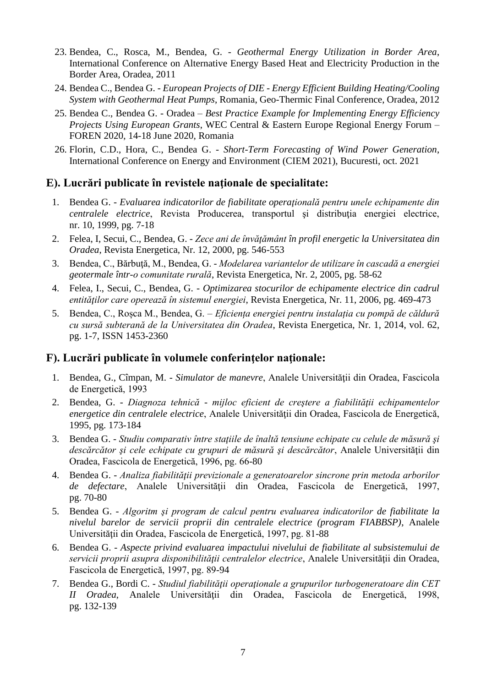- 23. Bendea, C., Rosca, M., Bendea, G. *Geothermal Energy Utilization in Border Area*, International Conference on Alternative Energy Based Heat and Electricity Production in the Border Area, Oradea, 2011
- 24. Bendea C., Bendea G. *European Projects of DIE - Energy Efficient Building Heating/Cooling System with Geothermal Heat Pumps*, Romania, Geo-Thermic Final Conference, Oradea, 2012
- 25. Bendea C., Bendea G. Oradea *Best Practice Example for Implementing Energy Efficiency Projects Using European Grants*, WEC Central & Eastern Europe Regional Energy Forum – FOREN 2020, 14-18 June 2020, Romania
- 26. Florin, C.D., Hora, C., Bendea G. *Short-Term Forecasting of Wind Power Generation*, International Conference on Energy and Environment (CIEM 2021), Bucuresti, oct. 2021

#### **E). Lucrări publicate în revistele naţionale de specialitate:**

- 1. Bendea G. *Evaluarea indicatorilor de fiabilitate operaţională pentru unele echipamente din centralele electrice*, Revista Producerea, transportul şi distribuţia energiei electrice, nr. 10, 1999, pg. 7-18
- 2. Felea, I, Secui, C., Bendea, G. *Zece ani de învăţământ în profil energetic la Universitatea din Oradea*, Revista Energetica, Nr. 12, 2000, pg. 546-553
- 3. Bendea, C., Bărbuţă, M., Bendea, G. *Modelarea variantelor de utilizare în cascadă a energiei geotermale într-o comunitate rurală*, Revista Energetica, Nr. 2, 2005, pg. 58-62
- 4. Felea, I., Secui, C., Bendea, G. *Optimizarea stocurilor de echipamente electrice din cadrul entităţilor care operează în sistemul energiei*, Revista Energetica, Nr. 11, 2006, pg. 469-473
- 5. Bendea, C., Roșca M., Bendea, G. *Eficiența energiei pentru instalația cu pompă de căldură cu sursă subterană de la Universitatea din Oradea*, Revista Energetica, Nr. 1, 2014, vol. 62, pg. 1-7, ISSN 1453-2360

#### **F). Lucrări publicate în volumele conferinţelor naţionale:**

- 1. Bendea, G., Cîmpan, M. *Simulator de manevre*, Analele Universităţii din Oradea, Fascicola de Energetică, 1993
- 2. Bendea, G. *Diagnoza tehnică - mijloc eficient de creştere a fiabilităţii echipamentelor energetice din centralele electrice*, Analele Universităţii din Oradea, Fascicola de Energetică, 1995, pg. 173-184
- 3. Bendea G. *Studiu comparativ între staţiile de înaltă tensiune echipate cu celule de măsură şi descărcător şi cele echipate cu grupuri de măsură şi descărcător*, Analele Universităţii din Oradea, Fascicola de Energetică, 1996, pg. 66-80
- 4. Bendea G. *Analiza fiabilităţii previzionale a generatoarelor sincrone prin metoda arborilor de defectare*, Analele Universităţii din Oradea, Fascicola de Energetică, 1997, pg. 70-80
- 5. Bendea G. *Algoritm şi program de calcul pentru evaluarea indicatorilor de fiabilitate la nivelul barelor de servicii proprii din centralele electrice (program FIABBSP)*, Analele Universităţii din Oradea, Fascicola de Energetică, 1997, pg. 81-88
- 6. Bendea G. *Aspecte privind evaluarea impactului nivelului de fiabilitate al subsistemului de*  servicii proprii asupra disponibilității centralelor electrice, Analele Universității din Oradea, Fascicola de Energetică, 1997, pg. 89-94
- 7. Bendea G., Bordi C. *Studiul fiabilităţii operaţionale a grupurilor turbogeneratoare din CET II Oradea*, Analele Universităţii din Oradea, Fascicola de Energetică, 1998, pg. 132-139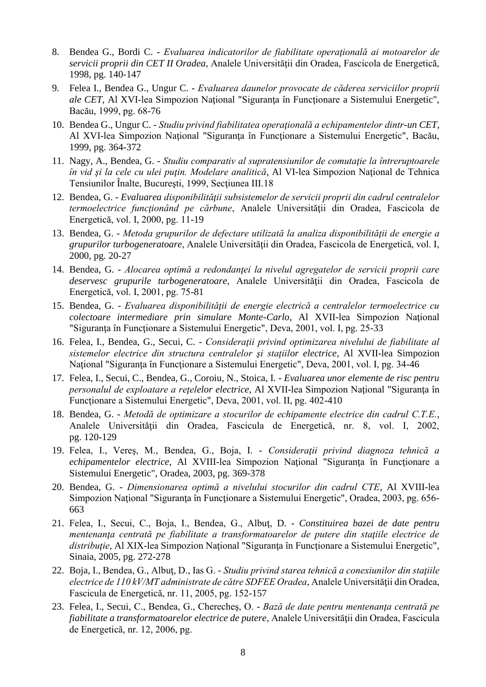- 8. Bendea G., Bordi C. *Evaluarea indicatorilor de fiabilitate operaţională ai motoarelor de servicii proprii din CET II Oradea*, Analele Universităţii din Oradea, Fascicola de Energetică, 1998, pg. 140-147
- 9. Felea I., Bendea G., Ungur C. *- Evaluarea daunelor provocate de căderea serviciilor proprii ale CET*, Al XVI-lea Simpozion Naţional "Siguranţa în Funcţionare a Sistemului Energetic", Bacău, 1999, pg. 68-76
- 10. Bendea G., Ungur C. *Studiu privind fiabilitatea operaţională a echipamentelor dintr-un CET*, Al XVI-lea Simpozion Naţional "Siguranţa în Funcţionare a Sistemului Energetic", Bacău, 1999, pg. 364-372
- 11. Nagy, A., Bendea, G. *Studiu comparativ al supratensiunilor de comutaţie la întreruptoarele în vid şi la cele cu ulei puţin. Modelare analitică*, Al VI-lea Simpozion Naţional de Tehnica Tensiunilor Înalte, Bucureşti, 1999, Secţiunea III.18
- 12. Bendea, G. *Evaluarea disponibilităţii subsistemelor de servicii proprii din cadrul centralelor termoelectrice funcţionând pe cărbune*, Analele Universităţii din Oradea, Fascicola de Energetică, vol. I, 2000, pg. 11-19
- 13. Bendea, G. *Metoda grupurilor de defectare utilizată la analiza disponibilităţii de energie a grupurilor turbogeneratoare*, Analele Universităţii din Oradea, Fascicola de Energetică, vol. I, 2000, pg. 20-27
- 14. Bendea, G. *Alocarea optimă a redondanţei la nivelul agregatelor de servicii proprii care deservesc grupurile turbogeneratoare*, Analele Universităţii din Oradea, Fascicola de Energetică, vol. I, 2001, pg. 75-81
- 15. Bendea, G. *Evaluarea disponibilităţii de energie electrică a centralelor termoelectrice cu colectoare intermediare prin simulare Monte-Carlo*, Al XVII-lea Simpozion Naţional "Siguranţa în Funcţionare a Sistemului Energetic", Deva, 2001, vol. I, pg. 25-33
- 16. Felea, I., Bendea, G., Secui, C. *Consideraţii privind optimizarea nivelului de fiabilitate al sistemelor electrice din structura centralelor şi staţiilor electrice*, Al XVII-lea Simpozion Naţional "Siguranţa în Funcţionare a Sistemului Energetic", Deva, 2001, vol. I, pg. 34-46
- 17. Felea, I., Secui, C., Bendea, G., Coroiu, N., Stoica, I. *- Evaluarea unor elemente de risc pentru personalul de exploatare a reţelelor electrice*, Al XVII-lea Simpozion Naţional "Siguranţa în Functionare a Sistemului Energetic", Deva, 2001, vol. II, pg. 402-410
- 18. Bendea, G. *Metodă de optimizare a stocurilor de echipamente electrice din cadrul C.T.E.*, Analele Universităţii din Oradea, Fascicula de Energetică, nr. 8, vol. I, 2002, pg. 120-129
- 19. Felea, I., Vereş, M., Bendea, G., Boja, I. *Consideraţii privind diagnoza tehnică a echipamentelor electrice*, Al XVIII-lea Simpozion Naţional "Siguranţa în Funcţionare a Sistemului Energetic", Oradea, 2003, pg. 369-378
- 20. Bendea, G. *Dimensionarea optimă a nivelului stocurilor din cadrul CTE*, Al XVIII-lea Simpozion Naţional "Siguranţa în Funcţionare a Sistemului Energetic", Oradea, 2003, pg. 656- 663
- 21. Felea, I., Secui, C., Boja, I., Bendea, G., Albuţ, D. *Constituirea bazei de date pentru mentenanţa centrată pe fiabilitate a transformatoarelor de putere din staţiile electrice de distribuţie*, Al XIX-lea Simpozion Naţional "Siguranţa în Funcţionare a Sistemului Energetic", Sinaia, 2005, pg. 272-278
- 22. Boja, I., Bendea, G., Albuţ, D., Ias G. *Studiu privind starea tehnică a conexiunilor din staţiile electrice de 110 kV/MT administrate de către SDFEE Oradea*, Analele Universităţii din Oradea, Fascicula de Energetică, nr. 11, 2005, pg. 152-157
- 23. Felea, I., Secui, C., Bendea, G., Cherecheş, O. *Bază de date pentru mentenanţa centrată pe fiabilitate a transformatoarelor electrice de putere*, Analele Universităţii din Oradea, Fascicula de Energetică, nr. 12, 2006, pg.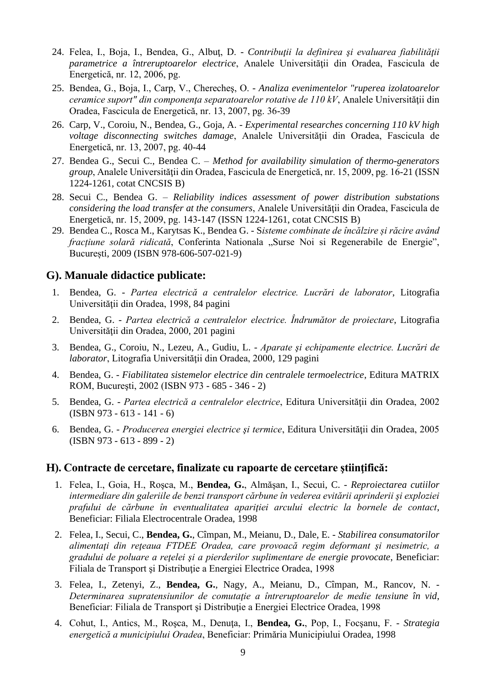- 24. Felea, I., Boja, I., Bendea, G., Albuţ, D. *Contribuţii la definirea şi evaluarea fiabilităţii parametrice a întreruptoarelor electrice*, Analele Universităţii din Oradea, Fascicula de Energetică, nr. 12, 2006, pg.
- 25. Bendea, G., Boja, I., Carp, V., Cherecheş, O. *Analiza evenimentelor "ruperea izolatoarelor ceramice suport" din componenţa separatoarelor rotative de 110 kV*, Analele Universităţii din Oradea, Fascicula de Energetică, nr. 13, 2007, pg. 36-39
- 26. Carp, V., Coroiu, N., Bendea, G., Goja, A. *Experimental researches concerning 110 kV high voltage disconnecting switches damage*, Analele Universităţii din Oradea, Fascicula de Energetică, nr. 13, 2007, pg. 40-44
- 27. Bendea G., Secui C., Bendea C. *Method for availability simulation of thermo-generators group*, Analele Universităţii din Oradea, Fascicula de Energetică, nr. 15, 2009, pg. 16-21 (ISSN 1224-1261, cotat CNCSIS B)
- 28. Secui C., Bendea G. *Reliability indices assessment of power distribution substations considering the load transfer at the consumers*, Analele Universității din Oradea, Fascicula de Energetică, nr. 15, 2009, pg. 143-147 (ISSN 1224-1261, cotat CNCSIS B)
- 29. Bendea C., Rosca M., Karytsas K., Bendea G. S*isteme combinate de încălzire și răcire având fracțiune solară ridicată*, Conferinta Nationala "Surse Noi si Regenerabile de Energie", București, 2009 (ISBN 978-606-507-021-9)

## **G). Manuale didactice publicate:**

- 1. Bendea, G. *Partea electrică a centralelor electrice. Lucrări de laborator*, Litografia Universităţii din Oradea, 1998, 84 pagini
- 2. Bendea, G. *Partea electrică a centralelor electrice. Îndrumător de proiectare*, Litografia Universităţii din Oradea, 2000, 201 pagini
- 3. Bendea, G., Coroiu, N., Lezeu, A., Gudiu, L. *Aparate şi echipamente electrice. Lucrări de laborator*, Litografia Universităţii din Oradea, 2000, 129 pagini
- 4. Bendea, G. *Fiabilitatea sistemelor electrice din centralele termoelectrice*, Editura MATRIX ROM, Bucureşti, 2002 (ISBN 973 - 685 - 346 - 2)
- 5. Bendea, G. *Partea electrică a centralelor electrice*, Editura Universităţii din Oradea, 2002 (ISBN 973 - 613 - 141 - 6)
- 6. Bendea, G. *Producerea energiei electrice şi termice*, Editura Universităţii din Oradea, 2005 (ISBN 973 - 613 - 899 - 2)

#### **H). Contracte de cercetare, finalizate cu rapoarte de cercetare ştiinţifică:**

- 1. Felea, I., Goia, H., Roşca, M., **Bendea, G.**, Almăşan, I., Secui, C. *Reproiectarea cutiilor intermediare din galeriile de benzi transport cărbune în vederea evitării aprinderii şi exploziei prafului de cărbune în eventualitatea apariţiei arcului electric la bornele de contact*, Beneficiar: Filiala Electrocentrale Oradea, 1998
- 2. Felea, I., Secui, C., **Bendea, G.**, Cîmpan, M., Meianu, D., Dale, E. *Stabilirea consumatorilor alimentaţi din reţeaua FTDEE Oradea, care provoacă regim deformant şi nesimetric, a gradului de poluare a reţelei şi a pierderilor suplimentare de energie provocate*, Beneficiar: Filiala de Transport şi Distribuţie a Energiei Electrice Oradea, 1998
- 3. Felea, I., Zetenyi, Z., **Bendea, G.**, Nagy, A., Meianu, D., Cîmpan, M., Rancov, N. *Determinarea supratensiunilor de comutaţie a întreruptoarelor de medie tensiune în vid*, Beneficiar: Filiala de Transport și Distribuție a Energiei Electrice Oradea, 1998
- 4. Cohut, I., Antics, M., Roşca, M., Denuţa, I., **Bendea, G.**, Pop, I., Focşanu, F. *Strategia energetică a municipiului Oradea*, Beneficiar: Primăria Municipiului Oradea, 1998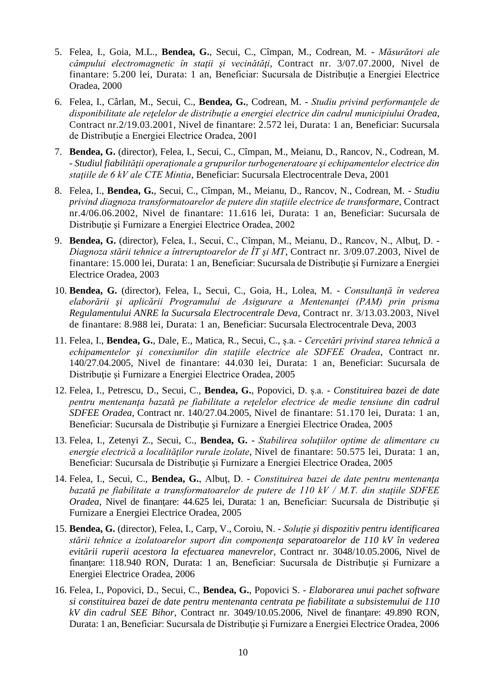- 5. Felea, I., Goia, M.L., **Bendea, G.**, Secui, C., Cîmpan, M., Codrean, M. *Măsurători ale câmpului electromagnetic în staţii şi vecinătăţi*, Contract nr. 3/07.07.2000, Nivel de finantare: 5.200 lei, Durata: 1 an, Beneficiar: Sucursala de Distribuţie a Energiei Electrice Oradea, 2000
- 6. Felea, I., Cârlan, M., Secui, C., **Bendea, G.**, Codrean, M. *Studiu privind performanţele de disponibilitate ale reţelelor de distribuţie a energiei electrice din cadrul municipiului Oradea*, Contract nr.2/19.03.2001, Nivel de finantare: 2.572 lei, Durata: 1 an, Beneficiar: Sucursala de Distribuţie a Energiei Electrice Oradea, 2001
- 7. **Bendea, G.** (director), Felea, I., Secui, C., Cîmpan, M., Meianu, D., Rancov, N., Codrean, M. - *Studiul fiabilităţii operaţionale a grupurilor turbogeneratoare şi echipamentelor electrice din staţiile de 6 kV ale CTE Mintia*, Beneficiar: Sucursala Electrocentrale Deva, 2001
- 8. Felea, I., **Bendea, G.**, Secui, C., Cîmpan, M., Meianu, D., Rancov, N., Codrean, M. *Studiu privind diagnoza transformatoarelor de putere din staţiile electrice de transformare*, Contract nr.4/06.06.2002, Nivel de finantare: 11.616 lei, Durata: 1 an, Beneficiar: Sucursala de Distribuţie şi Furnizare a Energiei Electrice Oradea, 2002
- 9. **Bendea, G.** (director), Felea, I., Secui, C., Cîmpan, M., Meianu, D., Rancov, N., Albuţ, D. *Diagnoza stării tehnice a întreruptoarelor de ÎT şi MT*, Contract nr. 3/09.07.2003, Nivel de finantare: 15.000 lei, Durata: 1 an, Beneficiar: Sucursala de Distribuţie şi Furnizare a Energiei Electrice Oradea, 2003
- 10. **Bendea, G.** (director), Felea, I., Secui, C., Goia, H., Lolea, M. *Consultanţă în vederea elaborării şi aplicării Programului de Asigurare a Mentenanţei (PAM) prin prisma Regulamentului ANRE la Sucursala Electrocentrale Deva*, Contract nr. 3/13.03.2003, Nivel de finantare: 8.988 lei, Durata: 1 an, Beneficiar: Sucursala Electrocentrale Deva, 2003
- 11. Felea, I., **Bendea, G.**, Dale, E., Matica, R., Secui, C., ș.a. *Cercetări privind starea tehnică a echipamentelor şi conexiunilor din staţiile electrice ale SDFEE Oradea*, Contract nr. 140/27.04.2005, Nivel de finantare: 44.030 lei, Durata: 1 an, Beneficiar: Sucursala de Distribuție și Furnizare a Energiei Electrice Oradea, 2005
- 12. Felea, I., Petrescu, D., Secui, C., **Bendea, G.**, Popovici, D. ș.a. *Constituirea bazei de date pentru mentenanţa bazată pe fiabilitate a reţelelor electrice de medie tensiune din cadrul SDFEE Oradea*, Contract nr. 140/27.04.2005, Nivel de finantare: 51.170 lei, Durata: 1 an, Beneficiar: Sucursala de Distribuţie şi Furnizare a Energiei Electrice Oradea, 2005
- 13. Felea, I., Zetenyi Z., Secui, C., **Bendea, G.** *Stabilirea soluţiilor optime de alimentare cu energie electrică a localităţilor rurale izolate*, Nivel de finantare: 50.575 lei, Durata: 1 an, Beneficiar: Sucursala de Distribuţie şi Furnizare a Energiei Electrice Oradea, 2005
- 14. Felea, I., Secui, C., **Bendea, G.**, Albuţ, D. *Constituirea bazei de date pentru mentenanţa bazată pe fiabilitate a transformatoarelor de putere de 110 kV / M.T. din staţiile SDFEE Oradea*, Nivel de finanţare: 44.625 lei, Durata: 1 an, Beneficiar: Sucursala de Distribuţie şi Furnizare a Energiei Electrice Oradea, 2005
- 15. **Bendea, G.** (director), Felea, I., Carp, V., Coroiu, N. *Soluţie şi dispozitiv pentru identificarea stării tehnice a izolatoarelor suport din componenţa separatoarelor de 110 kV în vederea evitării ruperii acestora la efectuarea manevrelor*, Contract nr. 3048/10.05.2006, Nivel de finanţare: 118.940 RON, Durata: 1 an, Beneficiar: Sucursala de Distribuţie şi Furnizare a Energiei Electrice Oradea, 2006
- 16. Felea, I., Popovici, D., Secui, C., **Bendea, G.**, Popovici S. *Elaborarea unui pachet software si constituirea bazei de date pentru mentenanta centrata pe fiabilitate a subsistemului de 110 kV din cadrul SEE Bihor*, Contract nr. 3049/10.05.2006, Nivel de finanţare: 49.890 RON, Durata: 1 an, Beneficiar: Sucursala de Distribuţie şi Furnizare a Energiei Electrice Oradea, 2006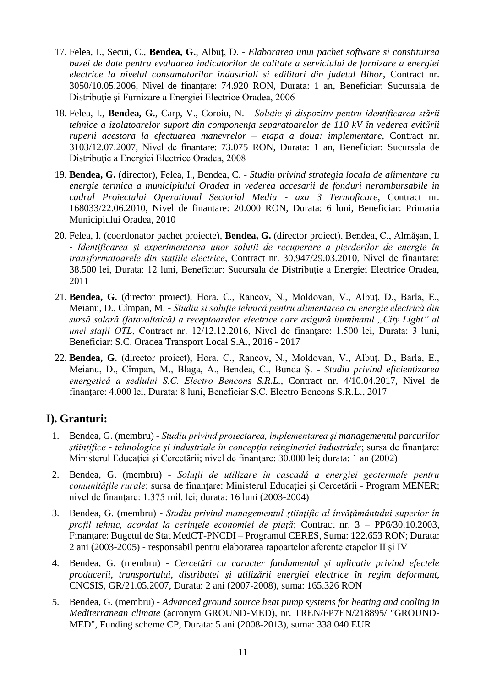- 17. Felea, I., Secui, C., **Bendea, G.**, Albuţ, D. *Elaborarea unui pachet software si constituirea bazei de date pentru evaluarea indicatorilor de calitate a serviciului de furnizare a energiei electrice la nivelul consumatorilor industriali si edilitari din judetul Bihor*, Contract nr. 3050/10.05.2006, Nivel de finanţare: 74.920 RON, Durata: 1 an, Beneficiar: Sucursala de Distribuţie şi Furnizare a Energiei Electrice Oradea, 2006
- 18. Felea, I., **Bendea, G.**, Carp, V., Coroiu, N. *Soluţie şi dispozitiv pentru identificarea stării tehnice a izolatoarelor suport din componenţa separatoarelor de 110 kV în vederea evitării ruperii acestora la efectuarea manevrelor – etapa a doua: implementare*, Contract nr. 3103/12.07.2007, Nivel de finanţare: 73.075 RON, Durata: 1 an, Beneficiar: Sucursala de Distribuţie a Energiei Electrice Oradea, 2008
- 19. **Bendea, G.** (director), Felea, I., Bendea, C. *Studiu privind strategia locala de alimentare cu energie termica a municipiului Oradea in vederea accesarii de fonduri nerambursabile in cadrul Proiectului Operational Sectorial Mediu - axa 3 Termoficare*, Contract nr. 168033/22.06.2010, Nivel de finantare: 20.000 RON, Durata: 6 luni, Beneficiar: Primaria Municipiului Oradea, 2010
- 20. Felea, I. (coordonator pachet proiecte), **Bendea, G.** (director proiect), Bendea, C., Almășan, I. - *Identificarea și experimentarea unor soluții de recuperare a pierderilor de energie în transformatoarele din stațiile electrice*, Contract nr. 30.947/29.03.2010, Nivel de finanțare: 38.500 lei, Durata: 12 luni, Beneficiar: Sucursala de Distribuţie a Energiei Electrice Oradea, 2011
- 21. **Bendea, G.** (director proiect), Hora, C., Rancov, N., Moldovan, V., Albuț, D., Barla, E., Meianu, D., Cîmpan, M. - *Studiu și soluție tehnică pentru alimentarea cu energie electrică din sursă solară (fotovoltaică) a receptoarelor electrice care asigură iluminatul "City Light" al unei stații OTL*, Contract nr. 12/12.12.2016, Nivel de finanțare: 1.500 lei, Durata: 3 luni, Beneficiar: S.C. Oradea Transport Local S.A., 2016 - 2017
- 22. **Bendea, G.** (director proiect), Hora, C., Rancov, N., Moldovan, V., Albuț, D., Barla, E., Meianu, D., Cîmpan, M., Blaga, A., Bendea, C., Bunda Ș. - *Studiu privind eficientizarea energetică a sediului S.C. Electro Bencons S.R.L.*, Contract nr. 4/10.04.2017, Nivel de finanțare: 4.000 lei, Durata: 8 luni, Beneficiar S.C. Electro Bencons S.R.L., 2017

# **I). Granturi:**

- 1. Bendea, G. (membru) *Studiu privind proiectarea, implementarea şi managementul parcurilor ştiinţifice - tehnologice şi industriale în concepţia reingineriei industriale*; sursa de finanţare: Ministerul Educaţiei şi Cercetării; nivel de finanţare: 30.000 lei; durata: 1 an (2002)
- 2. Bendea, G. (membru) *Soluţii de utilizare în cascadă a energiei geotermale pentru comunităţile rurale*; sursa de finanţare: Ministerul Educaţiei şi Cercetării - Program MENER; nivel de finanţare: 1.375 mil. lei; durata: 16 luni (2003-2004)
- 3. Bendea, G. (membru) *Studiu privind managementul ştiinţific al învăţământului superior în profil tehnic, acordat la cerinţele economiei de piaţă*; Contract nr. 3 – PP6/30.10.2003, Finanţare: Bugetul de Stat MedCT-PNCDI – Programul CERES, Suma: 122.653 RON; Durata: 2 ani (2003-2005) - responsabil pentru elaborarea rapoartelor aferente etapelor II şi IV
- 4. Bendea, G. (membru) *Cercetări cu caracter fundamental şi aplicativ privind efectele producerii, transportului, distributei şi utilizării energiei electrice în regim deformant,*  CNCSIS, GR/21.05.2007, Durata: 2 ani (2007-2008), suma: 165.326 RON
- 5. Bendea, G. (membru) *Advanced ground source heat pump systems for heating and cooling in Mediterranean climate* (acronym GROUND-MED), nr. TREN/FP7EN/218895/ "GROUND-MED", Funding scheme CP, Durata: 5 ani (2008-2013), suma: 338.040 EUR